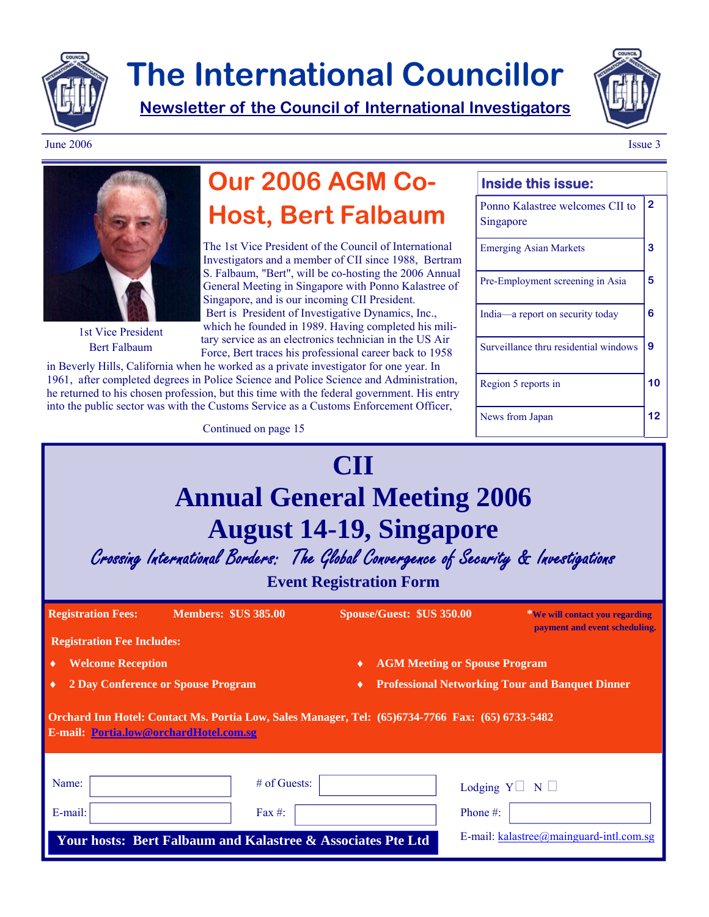

# **The International Councillor**

**Newsletter of the Council of International Investigators**



June 2006 **Issue 3** 



1st Vice President Bert Falbaum

## **Our 2006 AGM Co-Host, Bert Falbaum**

The 1st Vice President of the Council of International Investigators and a member of CII since 1988, Bertram S. Falbaum, "Bert", will be co-hosting the 2006 Annual General Meeting in Singapore with Ponno Kalastree of Singapore, and is our incoming CII President. Bert is President of Investigative Dynamics, Inc., which he founded in 1989. Having completed his military service as an electronics technician in the US Air Force, Bert traces his professional career back to 1958

in Beverly Hills, California when he worked as a private investigator for one year. In 1961, after completed degrees in Police Science and Police Science and Administration, he returned to his chosen profession, but this time with the federal government. His entry into the public sector was with the Customs Service as a Customs Enforcement Officer,

### **CII Annual General Meeting 2006 August 14-19, Singapore**  Crossing International Borders: The Global Convergence of Security & Investigations **Event Registration Form Registration Fees: Members: \$US 385.00 Spouse/Guest: \$US 350.00 \*We will contact you regarding payment and event scheduling. Registration Fee Includes: Orchard Inn Hotel: Contact Ms. Portia Low, Sales Manager, Tel: (65)6734-7766 Fax: (65) 6733-5482 E-mail: Portia.low@orchardHotel.com.sg** Name:  $\begin{array}{c|c|c|c|c|c|c|c|c} \hline \end{array}$  # of Guests:  $\begin{array}{c|c|c|c} \multicolumn{3}{c|c|c|c} & \multicolumn{3}{c|c|c} \multicolumn{3}{c|c} \multicolumn{3}{c|c} \multicolumn{3}{c|c} \multicolumn{3}{c|c} \multicolumn{3}{c|c} \multicolumn{3}{c|c} \multicolumn{3}{c|c} \multicolumn{3}{c|c} \multicolumn{3}{c|c} \multicolumn{3}{c|c} \multicolumn{3}{c|c} \multicolumn$ E-mail: Fax #: Phone #: E-mail: kalastree@mainguard-intl.com.sg ♦ **Welcome Reception** ♦ **AGM Meeting or Spouse Program**  ♦ **2 Day Conference or Spouse Program** ♦ **Professional Networking Tour and Banquet Dinner Your hosts: Bert Falbaum and Kalastree & Associates Pte Ltd**  Continued on page 15

### Ponno Kalastree welcomes CII to Singapore **2**  Emerging Asian Markets **3**  Pre-Employment screening in Asia **5**  India—a report on security today **6**  Surveillance thru residential windows **9**  Region 5 reports in **10**  News from Japan **12**

**Inside this issue:**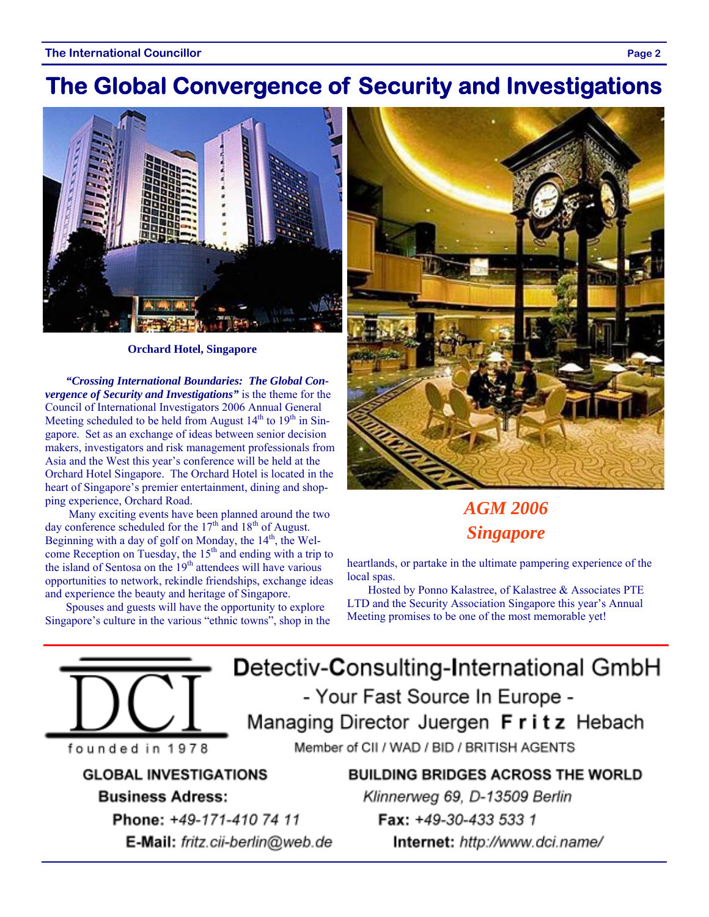## **The Global Convergence of Security and Investigations**



**Orchard Hotel, Singapore** 

*"Crossing International Boundaries: The Global Convergence of Security and Investigations"* is the theme for the Council of International Investigators 2006 Annual General Meeting scheduled to be held from August  $14<sup>th</sup>$  to  $19<sup>th</sup>$  in Singapore. Set as an exchange of ideas between senior decision makers, investigators and risk management professionals from Asia and the West this year's conference will be held at the Orchard Hotel Singapore. The Orchard Hotel is located in the heart of Singapore's premier entertainment, dining and shopping experience, Orchard Road.

 Many exciting events have been planned around the two day conference scheduled for the  $17<sup>th</sup>$  and  $18<sup>th</sup>$  of August. Beginning with a day of golf on Monday, the  $14<sup>th</sup>$ , the Welcome Reception on Tuesday, the  $15<sup>th</sup>$  and ending with a trip to the island of Sentosa on the  $19<sup>th</sup>$  attendees will have various opportunities to network, rekindle friendships, exchange ideas and experience the beauty and heritage of Singapore.

Spouses and guests will have the opportunity to explore Singapore's culture in the various "ethnic towns", shop in the



### *AGM 2006 Singapore*

heartlands, or partake in the ultimate pampering experience of the local spas.

Hosted by Ponno Kalastree, of Kalastree & Associates PTE LTD and the Security Association Singapore this year's Annual Meeting promises to be one of the most memorable yet!

Detectiv-Consulting-International GmbH - Your Fast Source In Europe -Managing Director Juergen Fritz Hebach

founded in 1978

**GLOBAL INVESTIGATIONS Business Adress:** 

> Phone: +49-171-410 74 11 E-Mail: fritz.cii-berlin@web.de

Member of CII / WAD / BID / BRITISH AGENTS

**BUILDING BRIDGES ACROSS THE WORLD** Klinnerweg 69, D-13509 Berlin Fax: +49-30-433 533 1 Internet: http://www.dci.name/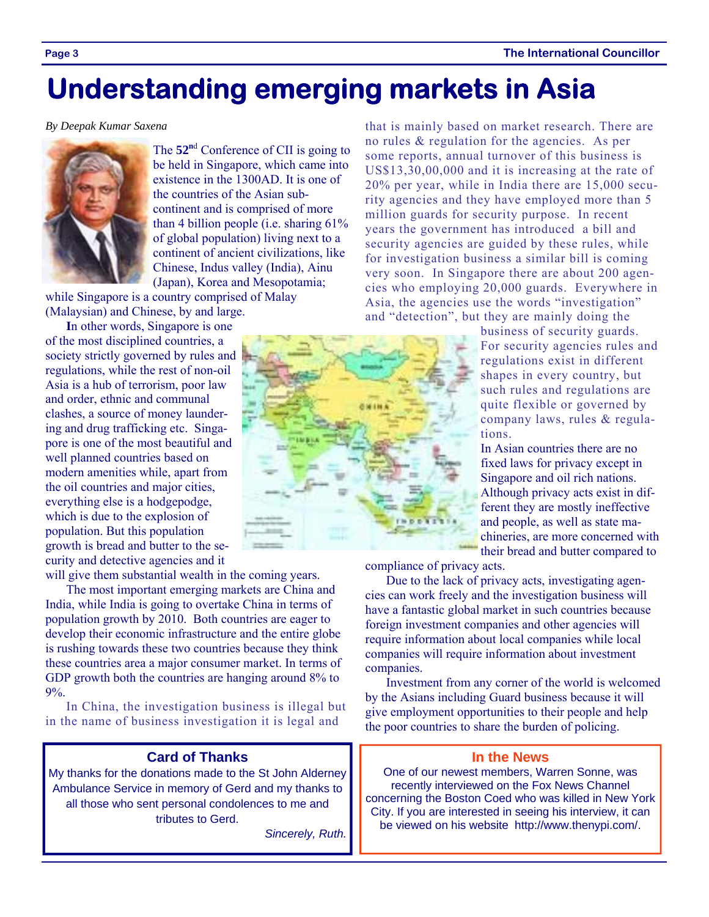# **Understanding emerging markets in Asia**

#### *By Deepak Kumar Saxena*



The 52<sup>nd</sup> Conference of CII is going to be held in Singapore, which came into existence in the 1300AD. It is one of the countries of the Asian subcontinent and is comprised of more than 4 billion people (i.e. sharing 61% of global population) living next to a continent of ancient civilizations, like Chinese, Indus valley (India), Ainu (Japan), Korea and Mesopotamia;

while Singapore is a country comprised of Malay (Malaysian) and Chinese, by and large.

**I**n other words, Singapore is one of the most disciplined countries, a society strictly governed by rules and regulations, while the rest of non-oil Asia is a hub of terrorism, poor law and order, ethnic and communal clashes, a source of money laundering and drug trafficking etc. Singapore is one of the most beautiful and well planned countries based on modern amenities while, apart from the oil countries and major cities, everything else is a hodgepodge, which is due to the explosion of population. But this population growth is bread and butter to the security and detective agencies and it

will give them substantial wealth in the coming years.

The most important emerging markets are China and India, while India is going to overtake China in terms of population growth by 2010. Both countries are eager to develop their economic infrastructure and the entire globe is rushing towards these two countries because they think these countries area a major consumer market. In terms of GDP growth both the countries are hanging around 8% to 9%.

In China, the investigation business is illegal but in the name of business investigation it is legal and

#### **Card of Thanks**

My thanks for the donations made to the St John Alderney Ambulance Service in memory of Gerd and my thanks to all those who sent personal condolences to me and tributes to Gerd.

*Sincerely, Ruth.* 

that is mainly based on market research. There are no rules & regulation for the agencies. As per some reports, annual turnover of this business is US\$13,30,00,000 and it is increasing at the rate of 20% per year, while in India there are 15,000 security agencies and they have employed more than 5 million guards for security purpose. In recent years the government has introduced a bill and security agencies are guided by these rules, while for investigation business a similar bill is coming very soon. In Singapore there are about 200 agencies who employing 20,000 guards. Everywhere in Asia, the agencies use the words "investigation" and "detection", but they are mainly doing the

business of security guards. For security agencies rules and regulations exist in different shapes in every country, but such rules and regulations are quite flexible or governed by company laws, rules & regulations.

In Asian countries there are no fixed laws for privacy except in Singapore and oil rich nations. Although privacy acts exist in different they are mostly ineffective and people, as well as state machineries, are more concerned with their bread and butter compared to

compliance of privacy acts.

Due to the lack of privacy acts, investigating agencies can work freely and the investigation business will have a fantastic global market in such countries because foreign investment companies and other agencies will require information about local companies while local companies will require information about investment companies.

Investment from any corner of the world is welcomed by the Asians including Guard business because it will give employment opportunities to their people and help the poor countries to share the burden of policing.

#### **In the News**

One of our newest members, Warren Sonne, was recently interviewed on the Fox News Channel concerning the Boston Coed who was killed in New York City. If you are interested in seeing his interview, it can be viewed on his website http://www.thenypi.com/.

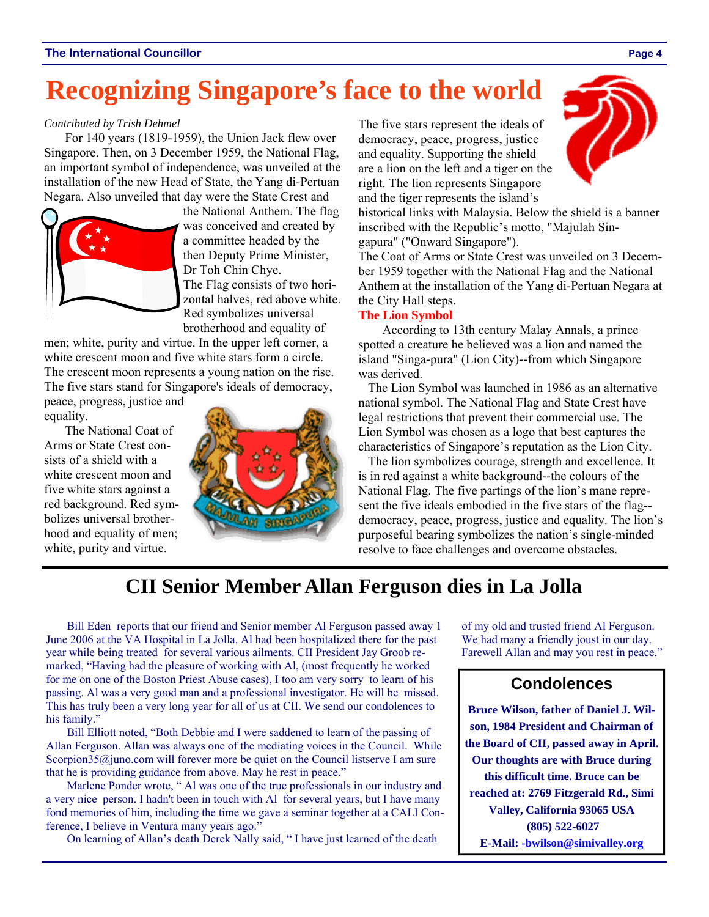# **Recognizing Singapore's face to the world**

#### *Contributed by Trish Dehmel*

For 140 years (1819-1959), the Union Jack flew over Singapore. Then, on 3 December 1959, the National Flag, an important symbol of independence, was unveiled at the installation of the new Head of State, the Yang di-Pertuan Negara. Also unveiled that day were the State Crest and



the National Anthem. The flag was conceived and created by a committee headed by the then Deputy Prime Minister, Dr Toh Chin Chye. The Flag consists of two horizontal halves, red above white. Red symbolizes universal brotherhood and equality of

men; white, purity and virtue. In the upper left corner, a white crescent moon and five white stars form a circle. The crescent moon represents a young nation on the rise. The five stars stand for Singapore's ideals of democracy,

peace, progress, justice and equality.

The National Coat of Arms or State Crest consists of a shield with a white crescent moon and five white stars against a red background. Red symbolizes universal brotherhood and equality of men; white, purity and virtue.



The five stars represent the ideals of democracy, peace, progress, justice and equality. Supporting the shield are a lion on the left and a tiger on the right. The lion represents Singapore and the tiger represents the island's

historical links with Malaysia. Below the shield is a banner inscribed with the Republic's motto, "Majulah Singapura" ("Onward Singapore").

The Coat of Arms or State Crest was unveiled on 3 December 1959 together with the National Flag and the National Anthem at the installation of the Yang di-Pertuan Negara at the City Hall steps.

#### **The Lion Symbol**

 According to 13th century Malay Annals, a prince spotted a creature he believed was a lion and named the island "Singa-pura" (Lion City)--from which Singapore was derived.

 The Lion Symbol was launched in 1986 as an alternative national symbol. The National Flag and State Crest have legal restrictions that prevent their commercial use. The Lion Symbol was chosen as a logo that best captures the characteristics of Singapore's reputation as the Lion City.

 The lion symbolizes courage, strength and excellence. It is in red against a white background--the colours of the National Flag. The five partings of the lion's mane represent the five ideals embodied in the five stars of the flag- democracy, peace, progress, justice and equality. The lion's purposeful bearing symbolizes the nation's single-minded resolve to face challenges and overcome obstacles.

### **CII Senior Member Allan Ferguson dies in La Jolla**

Bill Eden reports that our friend and Senior member Al Ferguson passed away 1 June 2006 at the VA Hospital in La Jolla. Al had been hospitalized there for the past year while being treated for several various ailments. CII President Jay Groob remarked, "Having had the pleasure of working with Al, (most frequently he worked for me on one of the Boston Priest Abuse cases), I too am very sorry to learn of his passing. Al was a very good man and a professional investigator. He will be missed. This has truly been a very long year for all of us at CII. We send our condolences to his family."

Bill Elliott noted, "Both Debbie and I were saddened to learn of the passing of Allan Ferguson. Allan was always one of the mediating voices in the Council. While Scorpion35@juno.com will forever more be quiet on the Council listserve I am sure that he is providing guidance from above. May he rest in peace."

Marlene Ponder wrote, " Al was one of the true professionals in our industry and a very nice person. I hadn't been in touch with Al for several years, but I have many fond memories of him, including the time we gave a seminar together at a CALI Conference, I believe in Ventura many years ago."

On learning of Allan's death Derek Nally said, " I have just learned of the death

of my old and trusted friend Al Ferguson. We had many a friendly joust in our day. Farewell Allan and may you rest in peace."

### **Condolences**

**Bruce Wilson, father of Daniel J. Wilson, 1984 President and Chairman of the Board of CII, passed away in April. Our thoughts are with Bruce during this difficult time. Bruce can be reached at: 2769 Fitzgerald Rd., Simi Valley, California 93065 USA (805) 522-6027 E-Mail: -bwilson@simivalley.org**

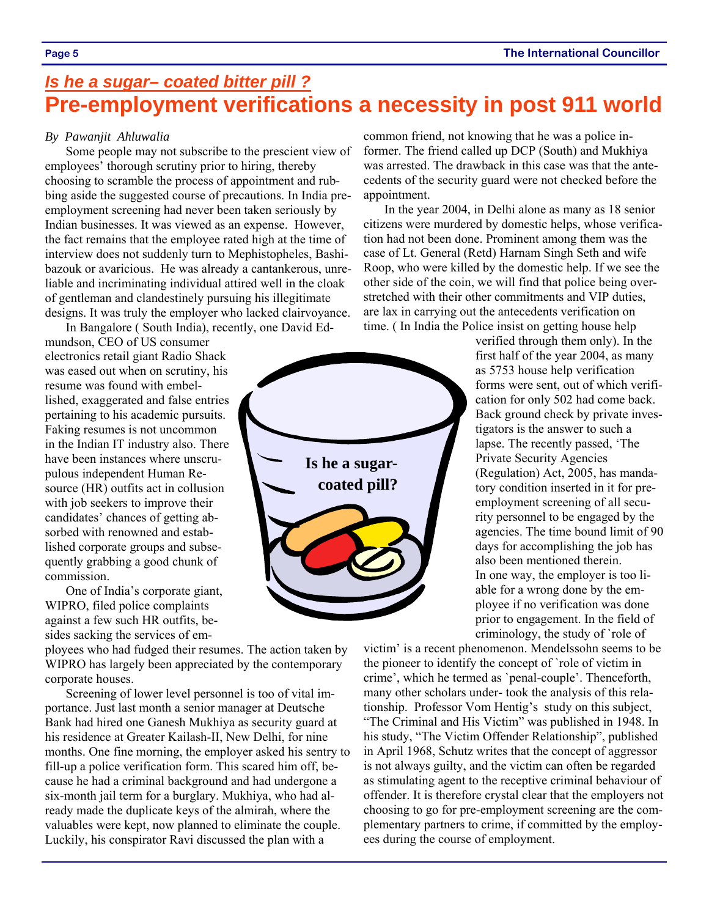### *Is he a sugar– coated bitter pill ?* **Pre-employment verifications a necessity in post 911 world**

#### *By Pawanjit Ahluwalia*

Some people may not subscribe to the prescient view of employees' thorough scrutiny prior to hiring, thereby choosing to scramble the process of appointment and rubbing aside the suggested course of precautions. In India preemployment screening had never been taken seriously by Indian businesses. It was viewed as an expense. However, the fact remains that the employee rated high at the time of interview does not suddenly turn to Mephistopheles, Bashibazouk or avaricious. He was already a cantankerous, unreliable and incriminating individual attired well in the cloak of gentleman and clandestinely pursuing his illegitimate designs. It was truly the employer who lacked clairvoyance.

In Bangalore ( South India), recently, one David Edmundson, CEO of US consumer electronics retail giant Radio Shack was eased out when on scrutiny, his resume was found with embellished, exaggerated and false entries pertaining to his academic pursuits. Faking resumes is not uncommon in the Indian IT industry also. There have been instances where unscrupulous independent Human Resource (HR) outfits act in collusion with job seekers to improve their candidates' chances of getting absorbed with renowned and established corporate groups and subsequently grabbing a good chunk of commission.

One of India's corporate giant, WIPRO, filed police complaints against a few such HR outfits, besides sacking the services of em-

ployees who had fudged their resumes. The action taken by WIPRO has largely been appreciated by the contemporary corporate houses.

Screening of lower level personnel is too of vital importance. Just last month a senior manager at Deutsche Bank had hired one Ganesh Mukhiya as security guard at his residence at Greater Kailash-II, New Delhi, for nine months. One fine morning, the employer asked his sentry to fill-up a police verification form. This scared him off, because he had a criminal background and had undergone a six-month jail term for a burglary. Mukhiya, who had already made the duplicate keys of the almirah, where the valuables were kept, now planned to eliminate the couple. Luckily, his conspirator Ravi discussed the plan with a

common friend, not knowing that he was a police informer. The friend called up DCP (South) and Mukhiya was arrested. The drawback in this case was that the antecedents of the security guard were not checked before the appointment.

In the year 2004, in Delhi alone as many as 18 senior citizens were murdered by domestic helps, whose verification had not been done. Prominent among them was the case of Lt. General (Retd) Harnam Singh Seth and wife Roop, who were killed by the domestic help. If we see the other side of the coin, we will find that police being overstretched with their other commitments and VIP duties, are lax in carrying out the antecedents verification on time. ( In India the Police insist on getting house help



verified through them only). In the first half of the year 2004, as many as 5753 house help verification forms were sent, out of which verification for only 502 had come back. Back ground check by private investigators is the answer to such a lapse. The recently passed, 'The Private Security Agencies (Regulation) Act, 2005, has mandatory condition inserted in it for preemployment screening of all security personnel to be engaged by the agencies. The time bound limit of 90 days for accomplishing the job has also been mentioned therein. In one way, the employer is too liable for a wrong done by the employee if no verification was done prior to engagement. In the field of criminology, the study of `role of

victim' is a recent phenomenon. Mendelssohn seems to be the pioneer to identify the concept of `role of victim in crime', which he termed as `penal-couple'. Thenceforth, many other scholars under- took the analysis of this relationship. Professor Vom Hentig's study on this subject, "The Criminal and His Victim" was published in 1948. In his study, "The Victim Offender Relationship", published in April 1968, Schutz writes that the concept of aggressor is not always guilty, and the victim can often be regarded as stimulating agent to the receptive criminal behaviour of offender. It is therefore crystal clear that the employers not choosing to go for pre-employment screening are the complementary partners to crime, if committed by the employees during the course of employment.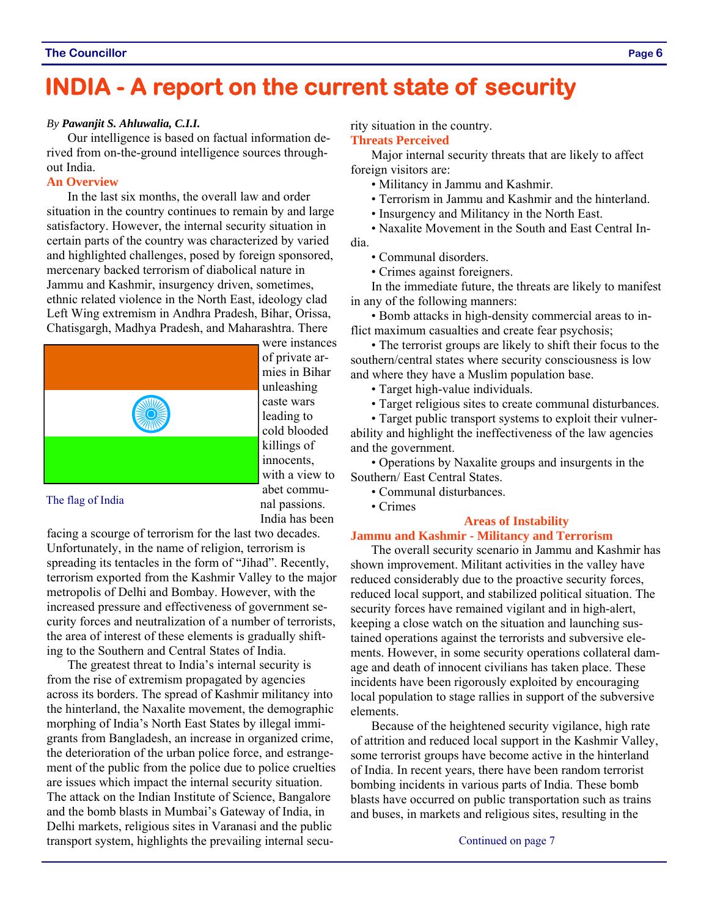### **INDIA - A report on the current state of security**

#### *By Pawanjit S. Ahluwalia, C.I.I.*

Our intelligence is based on factual information derived from on-the-ground intelligence sources throughout India.

#### **An Overview**

In the last six months, the overall law and order situation in the country continues to remain by and large satisfactory. However, the internal security situation in certain parts of the country was characterized by varied and highlighted challenges, posed by foreign sponsored, mercenary backed terrorism of diabolical nature in Jammu and Kashmir, insurgency driven, sometimes, ethnic related violence in the North East, ideology clad Left Wing extremism in Andhra Pradesh, Bihar, Orissa, Chatisgargh, Madhya Pradesh, and Maharashtra. There



were instances of private armies in Bihar unleashing caste wars leading to cold blooded killings of innocents, with a view to abet communal passions. India has been

#### The flag of India

facing a scourge of terrorism for the last two decades. Unfortunately, in the name of religion, terrorism is spreading its tentacles in the form of "Jihad". Recently, terrorism exported from the Kashmir Valley to the major metropolis of Delhi and Bombay. However, with the increased pressure and effectiveness of government security forces and neutralization of a number of terrorists, the area of interest of these elements is gradually shifting to the Southern and Central States of India.

The greatest threat to India's internal security is from the rise of extremism propagated by agencies across its borders. The spread of Kashmir militancy into the hinterland, the Naxalite movement, the demographic morphing of India's North East States by illegal immigrants from Bangladesh, an increase in organized crime, the deterioration of the urban police force, and estrangement of the public from the police due to police cruelties are issues which impact the internal security situation. The attack on the Indian Institute of Science, Bangalore and the bomb blasts in Mumbai's Gateway of India, in Delhi markets, religious sites in Varanasi and the public transport system, highlights the prevailing internal security situation in the country.

#### **Threats Perceived**

Major internal security threats that are likely to affect foreign visitors are:

- Militancy in Jammu and Kashmir.
- Terrorism in Jammu and Kashmir and the hinterland.
- Insurgency and Militancy in the North East.

• Naxalite Movement in the South and East Central India.

- Communal disorders.
- Crimes against foreigners.

In the immediate future, the threats are likely to manifest in any of the following manners:

• Bomb attacks in high-density commercial areas to inflict maximum casualties and create fear psychosis;

• The terrorist groups are likely to shift their focus to the southern/central states where security consciousness is low and where they have a Muslim population base.

• Target high-value individuals.

• Target religious sites to create communal disturbances.

• Target public transport systems to exploit their vulnerability and highlight the ineffectiveness of the law agencies and the government.

• Operations by Naxalite groups and insurgents in the Southern/ East Central States.

- Communal disturbances.
- Crimes

#### **Areas of Instability**

#### **Jammu and Kashmir - Militancy and Terrorism**

The overall security scenario in Jammu and Kashmir has shown improvement. Militant activities in the valley have reduced considerably due to the proactive security forces, reduced local support, and stabilized political situation. The security forces have remained vigilant and in high-alert, keeping a close watch on the situation and launching sustained operations against the terrorists and subversive elements. However, in some security operations collateral damage and death of innocent civilians has taken place. These incidents have been rigorously exploited by encouraging local population to stage rallies in support of the subversive elements.

Because of the heightened security vigilance, high rate of attrition and reduced local support in the Kashmir Valley, some terrorist groups have become active in the hinterland of India. In recent years, there have been random terrorist bombing incidents in various parts of India. These bomb blasts have occurred on public transportation such as trains and buses, in markets and religious sites, resulting in the

Continued on page 7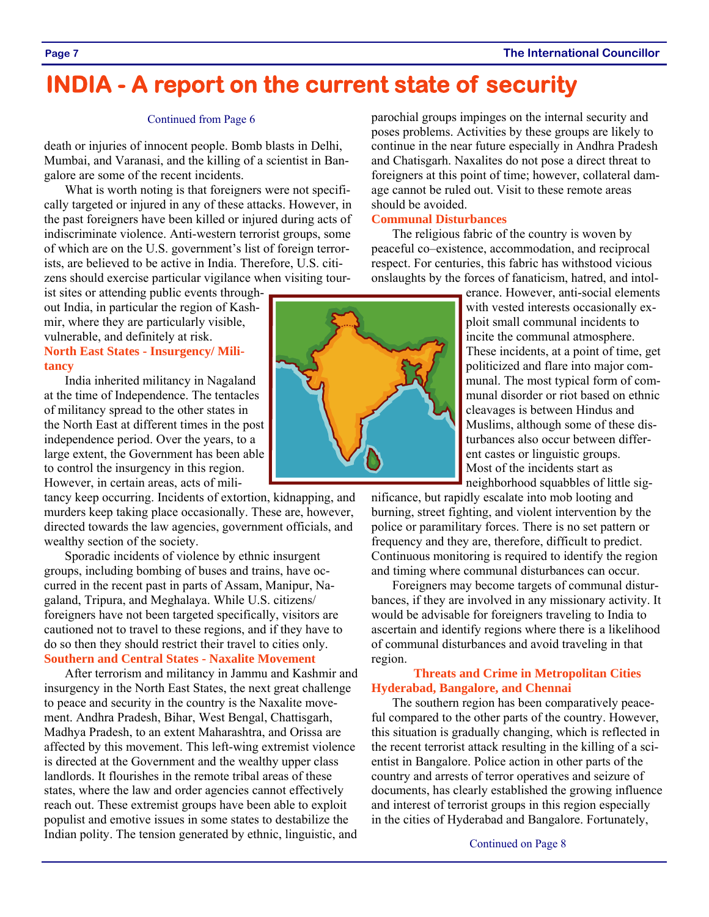### **INDIA - A report on the current state of security**

#### Continued from Page 6

death or injuries of innocent people. Bomb blasts in Delhi, Mumbai, and Varanasi, and the killing of a scientist in Bangalore are some of the recent incidents.

What is worth noting is that foreigners were not specifically targeted or injured in any of these attacks. However, in the past foreigners have been killed or injured during acts of indiscriminate violence. Anti-western terrorist groups, some of which are on the U.S. government's list of foreign terrorists, are believed to be active in India. Therefore, U.S. citizens should exercise particular vigilance when visiting tour-

ist sites or attending public events throughout India, in particular the region of Kashmir, where they are particularly visible, vulnerable, and definitely at risk.

#### **North East States - Insurgency/ Militancy**

India inherited militancy in Nagaland at the time of Independence. The tentacles of militancy spread to the other states in the North East at different times in the post independence period. Over the years, to a large extent, the Government has been able to control the insurgency in this region. However, in certain areas, acts of mili-

tancy keep occurring. Incidents of extortion, kidnapping, and murders keep taking place occasionally. These are, however, directed towards the law agencies, government officials, and wealthy section of the society.

Sporadic incidents of violence by ethnic insurgent groups, including bombing of buses and trains, have occurred in the recent past in parts of Assam, Manipur, Nagaland, Tripura, and Meghalaya. While U.S. citizens/ foreigners have not been targeted specifically, visitors are cautioned not to travel to these regions, and if they have to do so then they should restrict their travel to cities only. **Southern and Central States - Naxalite Movement** 

After terrorism and militancy in Jammu and Kashmir and insurgency in the North East States, the next great challenge to peace and security in the country is the Naxalite movement. Andhra Pradesh, Bihar, West Bengal, Chattisgarh, Madhya Pradesh, to an extent Maharashtra, and Orissa are affected by this movement. This left-wing extremist violence is directed at the Government and the wealthy upper class landlords. It flourishes in the remote tribal areas of these states, where the law and order agencies cannot effectively reach out. These extremist groups have been able to exploit populist and emotive issues in some states to destabilize the Indian polity. The tension generated by ethnic, linguistic, and parochial groups impinges on the internal security and poses problems. Activities by these groups are likely to continue in the near future especially in Andhra Pradesh and Chatisgarh. Naxalites do not pose a direct threat to foreigners at this point of time; however, collateral damage cannot be ruled out. Visit to these remote areas should be avoided.

#### **Communal Disturbances**

The religious fabric of the country is woven by peaceful co–existence, accommodation, and reciprocal respect. For centuries, this fabric has withstood vicious onslaughts by the forces of fanaticism, hatred, and intol-

> erance. However, anti-social elements with vested interests occasionally exploit small communal incidents to incite the communal atmosphere. These incidents, at a point of time, get politicized and flare into major communal. The most typical form of communal disorder or riot based on ethnic cleavages is between Hindus and Muslims, although some of these disturbances also occur between different castes or linguistic groups. Most of the incidents start as neighborhood squabbles of little sig-

nificance, but rapidly escalate into mob looting and burning, street fighting, and violent intervention by the police or paramilitary forces. There is no set pattern or frequency and they are, therefore, difficult to predict. Continuous monitoring is required to identify the region and timing where communal disturbances can occur.

Foreigners may become targets of communal disturbances, if they are involved in any missionary activity. It would be advisable for foreigners traveling to India to ascertain and identify regions where there is a likelihood of communal disturbances and avoid traveling in that region.

#### **Threats and Crime in Metropolitan Cities Hyderabad, Bangalore, and Chennai**

The southern region has been comparatively peaceful compared to the other parts of the country. However, this situation is gradually changing, which is reflected in the recent terrorist attack resulting in the killing of a scientist in Bangalore. Police action in other parts of the country and arrests of terror operatives and seizure of documents, has clearly established the growing influence and interest of terrorist groups in this region especially in the cities of Hyderabad and Bangalore. Fortunately,

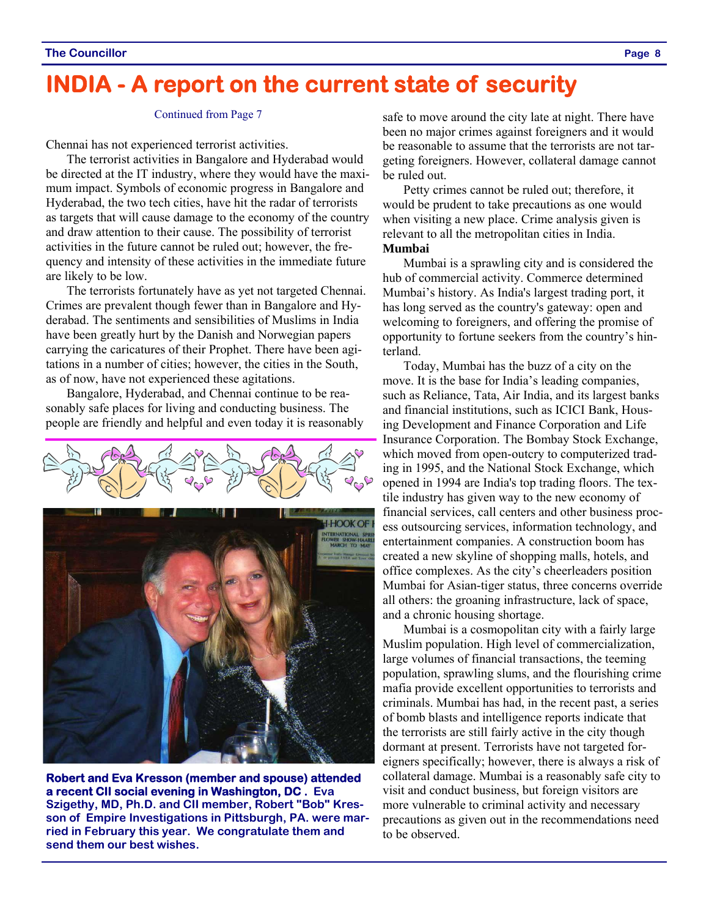### **INDIA - A report on the current state of security**

#### Continued from Page 7

Chennai has not experienced terrorist activities.

The terrorist activities in Bangalore and Hyderabad would be directed at the IT industry, where they would have the maximum impact. Symbols of economic progress in Bangalore and Hyderabad, the two tech cities, have hit the radar of terrorists as targets that will cause damage to the economy of the country and draw attention to their cause. The possibility of terrorist activities in the future cannot be ruled out; however, the frequency and intensity of these activities in the immediate future are likely to be low.

The terrorists fortunately have as yet not targeted Chennai. Crimes are prevalent though fewer than in Bangalore and Hyderabad. The sentiments and sensibilities of Muslims in India have been greatly hurt by the Danish and Norwegian papers carrying the caricatures of their Prophet. There have been agitations in a number of cities; however, the cities in the South, as of now, have not experienced these agitations.

Bangalore, Hyderabad, and Chennai continue to be reasonably safe places for living and conducting business. The people are friendly and helpful and even today it is reasonably



**Robert and Eva Kresson (member and spouse) attended a recent CII social evening in Washington, DC . Eva Szigethy, MD, Ph.D. and CII member, Robert "Bob" Kresson of Empire Investigations in Pittsburgh, PA. were married in February this year. We congratulate them and send them our best wishes.** 

safe to move around the city late at night. There have been no major crimes against foreigners and it would be reasonable to assume that the terrorists are not targeting foreigners. However, collateral damage cannot be ruled out.

Petty crimes cannot be ruled out; therefore, it would be prudent to take precautions as one would when visiting a new place. Crime analysis given is relevant to all the metropolitan cities in India. **Mumbai** 

Mumbai is a sprawling city and is considered the hub of commercial activity. Commerce determined Mumbai's history. As India's largest trading port, it has long served as the country's gateway: open and welcoming to foreigners, and offering the promise of opportunity to fortune seekers from the country's hinterland.

Today, Mumbai has the buzz of a city on the move. It is the base for India's leading companies, such as Reliance, Tata, Air India, and its largest banks and financial institutions, such as ICICI Bank, Housing Development and Finance Corporation and Life Insurance Corporation. The Bombay Stock Exchange, which moved from open-outcry to computerized trading in 1995, and the National Stock Exchange, which opened in 1994 are India's top trading floors. The textile industry has given way to the new economy of financial services, call centers and other business process outsourcing services, information technology, and entertainment companies. A construction boom has created a new skyline of shopping malls, hotels, and office complexes. As the city's cheerleaders position Mumbai for Asian-tiger status, three concerns override all others: the groaning infrastructure, lack of space, and a chronic housing shortage.

Mumbai is a cosmopolitan city with a fairly large Muslim population. High level of commercialization, large volumes of financial transactions, the teeming population, sprawling slums, and the flourishing crime mafia provide excellent opportunities to terrorists and criminals. Mumbai has had, in the recent past, a series of bomb blasts and intelligence reports indicate that the terrorists are still fairly active in the city though dormant at present. Terrorists have not targeted foreigners specifically; however, there is always a risk of collateral damage. Mumbai is a reasonably safe city to visit and conduct business, but foreign visitors are more vulnerable to criminal activity and necessary precautions as given out in the recommendations need to be observed.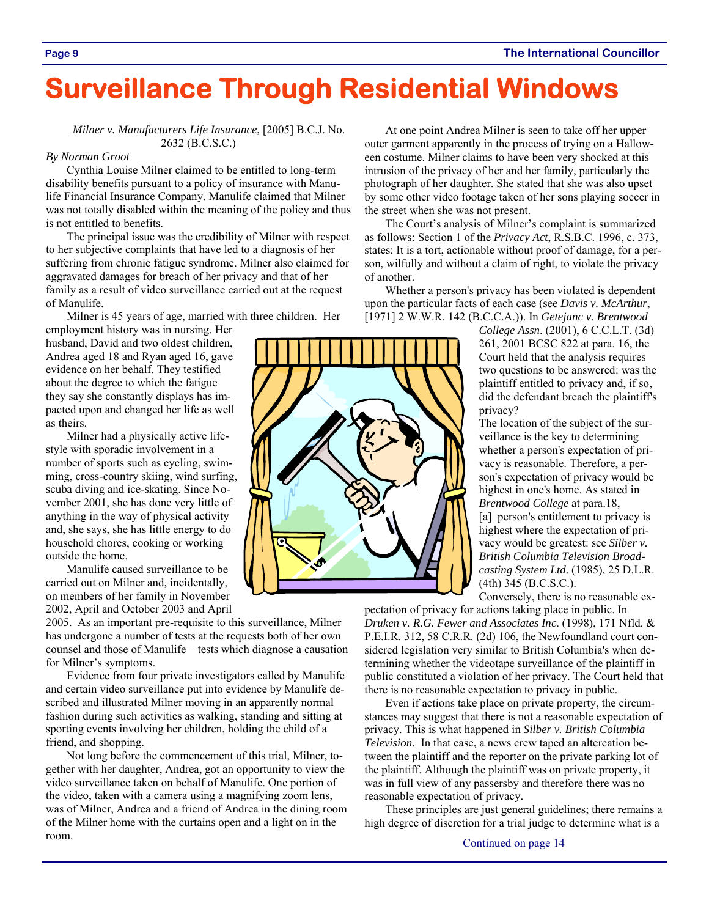# **Surveillance Through Residential Windows**

#### *Milner v. Manufacturers Life Insurance*, [2005] B.C.J. No. 2632 (B.C.S.C.)

#### *By Norman Groot*

Cynthia Louise Milner claimed to be entitled to long-term disability benefits pursuant to a policy of insurance with Manulife Financial Insurance Company. Manulife claimed that Milner was not totally disabled within the meaning of the policy and thus is not entitled to benefits.

The principal issue was the credibility of Milner with respect to her subjective complaints that have led to a diagnosis of her suffering from chronic fatigue syndrome. Milner also claimed for aggravated damages for breach of her privacy and that of her family as a result of video surveillance carried out at the request of Manulife.

Milner is 45 years of age, married with three children. Her

employment history was in nursing. Her husband, David and two oldest children, Andrea aged 18 and Ryan aged 16, gave evidence on her behalf. They testified about the degree to which the fatigue they say she constantly displays has impacted upon and changed her life as well as theirs.

Milner had a physically active lifestyle with sporadic involvement in a number of sports such as cycling, swimming, cross-country skiing, wind surfing, scuba diving and ice-skating. Since November 2001, she has done very little of anything in the way of physical activity and, she says, she has little energy to do household chores, cooking or working outside the home.

Manulife caused surveillance to be carried out on Milner and, incidentally, on members of her family in November 2002, April and October 2003 and April

2005. As an important pre-requisite to this surveillance, Milner has undergone a number of tests at the requests both of her own counsel and those of Manulife – tests which diagnose a causation for Milner's symptoms.

Evidence from four private investigators called by Manulife and certain video surveillance put into evidence by Manulife described and illustrated Milner moving in an apparently normal fashion during such activities as walking, standing and sitting at sporting events involving her children, holding the child of a friend, and shopping.

Not long before the commencement of this trial, Milner, together with her daughter, Andrea, got an opportunity to view the video surveillance taken on behalf of Manulife. One portion of the video, taken with a camera using a magnifying zoom lens, was of Milner, Andrea and a friend of Andrea in the dining room of the Milner home with the curtains open and a light on in the room.

At one point Andrea Milner is seen to take off her upper outer garment apparently in the process of trying on a Halloween costume. Milner claims to have been very shocked at this intrusion of the privacy of her and her family, particularly the photograph of her daughter. She stated that she was also upset by some other video footage taken of her sons playing soccer in the street when she was not present.

The Court's analysis of Milner's complaint is summarized as follows: Section 1 of the *Privacy Act*, R.S.B.C. 1996, c. 373, states: It is a tort, actionable without proof of damage, for a person, wilfully and without a claim of right, to violate the privacy of another.

Whether a person's privacy has been violated is dependent upon the particular facts of each case (see *Davis v. McArthur*, [1971] 2 W.W.R. 142 (B.C.C.A.)). In *Getejanc v. Brentwood* 

> *College Assn*. (2001), 6 C.C.L.T. (3d) 261, 2001 BCSC 822 at para. 16, the Court held that the analysis requires two questions to be answered: was the plaintiff entitled to privacy and, if so, did the defendant breach the plaintiff's privacy?

The location of the subject of the surveillance is the key to determining whether a person's expectation of privacy is reasonable. Therefore, a person's expectation of privacy would be highest in one's home. As stated in *Brentwood College* at para.18, [a] person's entitlement to privacy is highest where the expectation of privacy would be greatest: see *Silber v. British Columbia Television Broadcasting System Ltd*. (1985), 25 D.L.R. (4th) 345 (B.C.S.C.).

Conversely, there is no reasonable ex-

pectation of privacy for actions taking place in public. In *Druken v. R.G. Fewer and Associates Inc*. (1998), 171 Nfld. & P.E.I.R. 312, 58 C.R.R. (2d) 106, the Newfoundland court considered legislation very similar to British Columbia's when determining whether the videotape surveillance of the plaintiff in public constituted a violation of her privacy. The Court held that there is no reasonable expectation to privacy in public.

Even if actions take place on private property, the circumstances may suggest that there is not a reasonable expectation of privacy. This is what happened in *Silber v. British Columbia Television.* In that case, a news crew taped an altercation between the plaintiff and the reporter on the private parking lot of the plaintiff. Although the plaintiff was on private property, it was in full view of any passersby and therefore there was no reasonable expectation of privacy.

These principles are just general guidelines; there remains a high degree of discretion for a trial judge to determine what is a

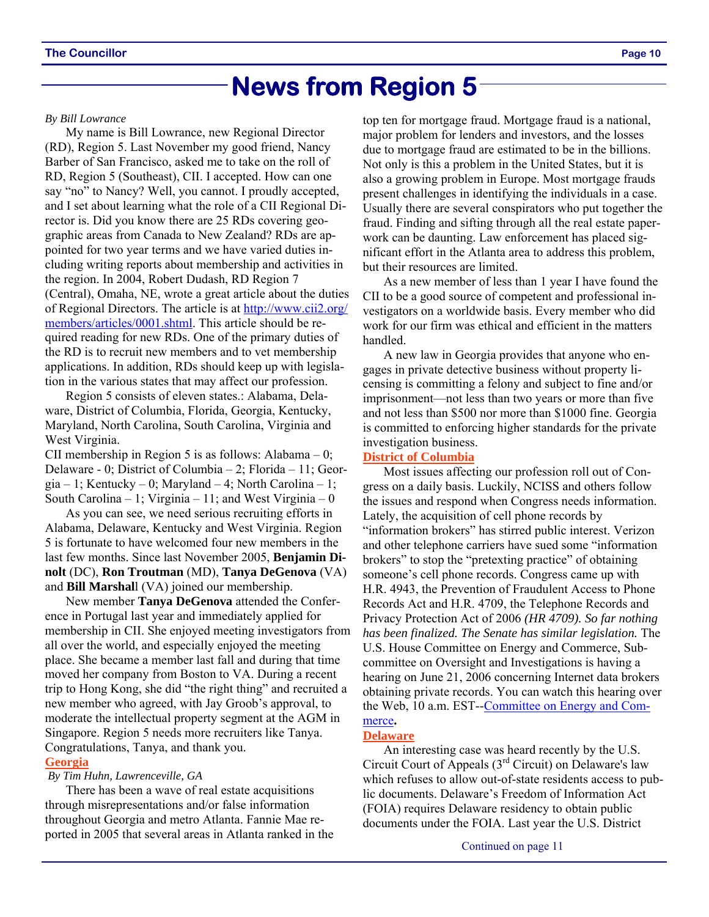### **News from Region 5**

#### *By Bill Lowrance*

My name is Bill Lowrance, new Regional Director (RD), Region 5. Last November my good friend, Nancy Barber of San Francisco, asked me to take on the roll of RD, Region 5 (Southeast), CII. I accepted. How can one say "no" to Nancy? Well, you cannot. I proudly accepted, and I set about learning what the role of a CII Regional Director is. Did you know there are 25 RDs covering geographic areas from Canada to New Zealand? RDs are appointed for two year terms and we have varied duties including writing reports about membership and activities in the region. In 2004, Robert Dudash, RD Region 7 (Central), Omaha, NE, wrote a great article about the duties of Regional Directors. The article is at http://www.cii2.org/ members/articles/0001.shtml. This article should be required reading for new RDs. One of the primary duties of the RD is to recruit new members and to vet membership applications. In addition, RDs should keep up with legislation in the various states that may affect our profession.

Region 5 consists of eleven states.: Alabama, Delaware, District of Columbia, Florida, Georgia, Kentucky, Maryland, North Carolina, South Carolina, Virginia and West Virginia.

CII membership in Region 5 is as follows: Alabama  $-0$ ; Delaware - 0; District of Columbia – 2; Florida – 11; Georgia – 1; Kentucky – 0; Maryland – 4; North Carolina – 1; South Carolina – 1; Virginia – 11; and West Virginia – 0

As you can see, we need serious recruiting efforts in Alabama, Delaware, Kentucky and West Virginia. Region 5 is fortunate to have welcomed four new members in the last few months. Since last November 2005, **Benjamin Dinolt** (DC), **Ron Troutman** (MD), **Tanya DeGenova** (VA) and **Bill Marshal**l (VA) joined our membership.

New member **Tanya DeGenova** attended the Conference in Portugal last year and immediately applied for membership in CII. She enjoyed meeting investigators from all over the world, and especially enjoyed the meeting place. She became a member last fall and during that time moved her company from Boston to VA. During a recent trip to Hong Kong, she did "the right thing" and recruited a new member who agreed, with Jay Groob's approval, to moderate the intellectual property segment at the AGM in Singapore. Region 5 needs more recruiters like Tanya. Congratulations, Tanya, and thank you.

#### **Georgia**

#### *By Tim Huhn, Lawrenceville, GA*

There has been a wave of real estate acquisitions through misrepresentations and/or false information throughout Georgia and metro Atlanta. Fannie Mae reported in 2005 that several areas in Atlanta ranked in the top ten for mortgage fraud. Mortgage fraud is a national, major problem for lenders and investors, and the losses due to mortgage fraud are estimated to be in the billions. Not only is this a problem in the United States, but it is also a growing problem in Europe. Most mortgage frauds present challenges in identifying the individuals in a case. Usually there are several conspirators who put together the fraud. Finding and sifting through all the real estate paperwork can be daunting. Law enforcement has placed significant effort in the Atlanta area to address this problem, but their resources are limited.

As a new member of less than 1 year I have found the CII to be a good source of competent and professional investigators on a worldwide basis. Every member who did work for our firm was ethical and efficient in the matters handled.

A new law in Georgia provides that anyone who engages in private detective business without property licensing is committing a felony and subject to fine and/or imprisonment—not less than two years or more than five and not less than \$500 nor more than \$1000 fine. Georgia is committed to enforcing higher standards for the private investigation business.

#### **District of Columbia**

Most issues affecting our profession roll out of Congress on a daily basis. Luckily, NCISS and others follow the issues and respond when Congress needs information. Lately, the acquisition of cell phone records by "information brokers" has stirred public interest. Verizon and other telephone carriers have sued some "information brokers" to stop the "pretexting practice" of obtaining someone's cell phone records. Congress came up with H.R. 4943, the Prevention of Fraudulent Access to Phone Records Act and H.R. 4709, the Telephone Records and Privacy Protection Act of 2006 *(HR 4709). So far nothing has been finalized. The Senate has similar legislation.* The U.S. House Committee on Energy and Commerce, Subcommittee on Oversight and Investigations is having a hearing on June 21, 2006 concerning Internet data brokers obtaining private records. You can watch this hearing over the Web, 10 a.m. EST--Committee on Energy and Commerce**.** 

#### **Delaware**

An interesting case was heard recently by the U.S. Circuit Court of Appeals ( $3<sup>rd</sup>$  Circuit) on Delaware's law which refuses to allow out-of-state residents access to public documents. Delaware's Freedom of Information Act (FOIA) requires Delaware residency to obtain public documents under the FOIA. Last year the U.S. District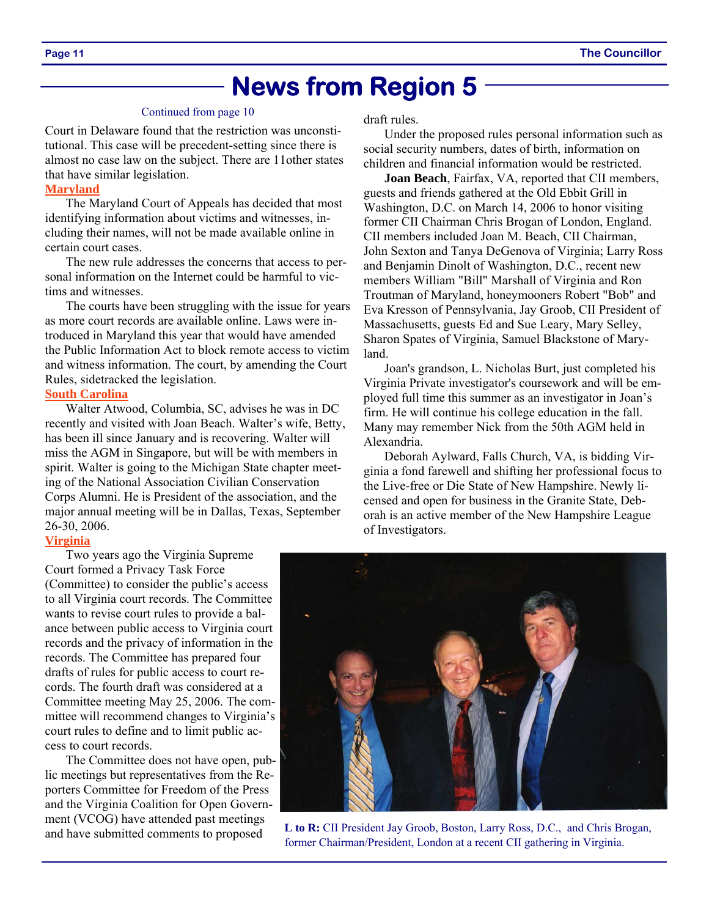### **News from Region 5**

#### Continued from page 10

Court in Delaware found that the restriction was unconstitutional. This case will be precedent-setting since there is almost no case law on the subject. There are 11other states that have similar legislation.

#### **Maryland**

The Maryland Court of Appeals has decided that most identifying information about victims and witnesses, including their names, will not be made available online in certain court cases.

The new rule addresses the concerns that access to personal information on the Internet could be harmful to victims and witnesses.

The courts have been struggling with the issue for years as more court records are available online. Laws were introduced in Maryland this year that would have amended the Public Information Act to block remote access to victim and witness information. The court, by amending the Court Rules, sidetracked the legislation.

#### **South Carolina**

Walter Atwood, Columbia, SC, advises he was in DC recently and visited with Joan Beach. Walter's wife, Betty, has been ill since January and is recovering. Walter will miss the AGM in Singapore, but will be with members in spirit. Walter is going to the Michigan State chapter meeting of the National Association Civilian Conservation Corps Alumni. He is President of the association, and the major annual meeting will be in Dallas, Texas, September 26-30, 2006.

#### **Virginia**

Two years ago the Virginia Supreme Court formed a Privacy Task Force (Committee) to consider the public's access to all Virginia court records. The Committee wants to revise court rules to provide a balance between public access to Virginia court records and the privacy of information in the records. The Committee has prepared four drafts of rules for public access to court records. The fourth draft was considered at a Committee meeting May 25, 2006. The committee will recommend changes to Virginia's court rules to define and to limit public access to court records.

The Committee does not have open, public meetings but representatives from the Reporters Committee for Freedom of the Press and the Virginia Coalition for Open Government (VCOG) have attended past meetings and have submitted comments to proposed

draft rules.

Under the proposed rules personal information such as social security numbers, dates of birth, information on children and financial information would be restricted.

**Joan Beach**, Fairfax, VA, reported that CII members, guests and friends gathered at the Old Ebbit Grill in Washington, D.C. on March 14, 2006 to honor visiting former CII Chairman Chris Brogan of London, England. CII members included Joan M. Beach, CII Chairman, John Sexton and Tanya DeGenova of Virginia; Larry Ross and Benjamin Dinolt of Washington, D.C., recent new members William "Bill" Marshall of Virginia and Ron Troutman of Maryland, honeymooners Robert "Bob" and Eva Kresson of Pennsylvania, Jay Groob, CII President of Massachusetts, guests Ed and Sue Leary, Mary Selley, Sharon Spates of Virginia, Samuel Blackstone of Maryland.

Joan's grandson, L. Nicholas Burt, just completed his Virginia Private investigator's coursework and will be employed full time this summer as an investigator in Joan's firm. He will continue his college education in the fall. Many may remember Nick from the 50th AGM held in Alexandria.

Deborah Aylward, Falls Church, VA, is bidding Virginia a fond farewell and shifting her professional focus to the Live-free or Die State of New Hampshire. Newly licensed and open for business in the Granite State, Deborah is an active member of the New Hampshire League of Investigators.



**L to R:** CII President Jay Groob, Boston, Larry Ross, D.C., and Chris Brogan, former Chairman/President, London at a recent CII gathering in Virginia.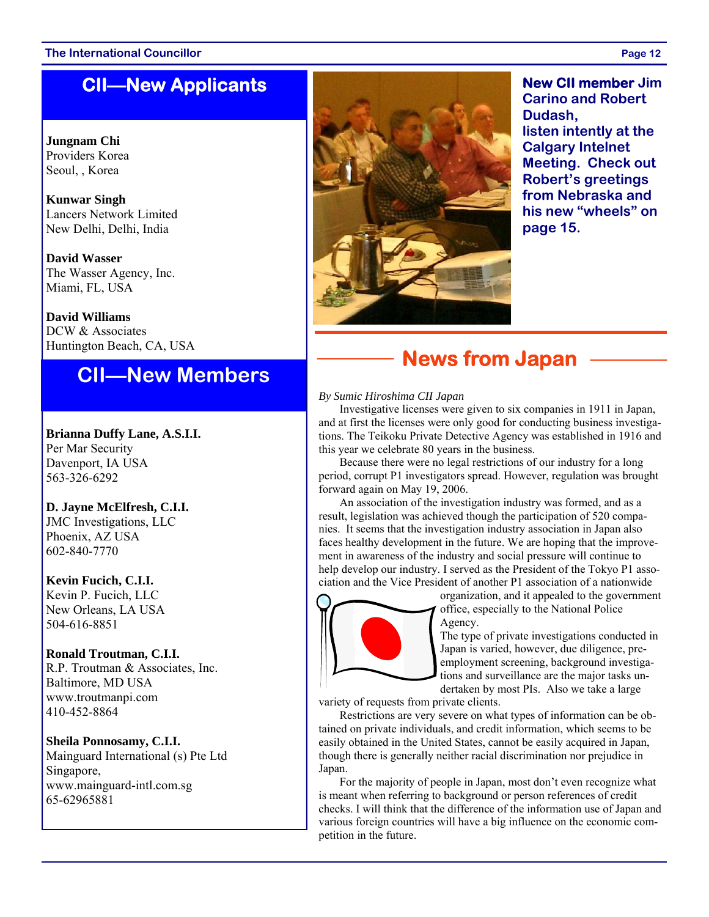#### **The International Councillor Page 12**

### **CII—New Applicants**

**Jungnam Chi**  Providers Korea Seoul, , Korea

**Kunwar Singh** Lancers Network Limited New Delhi, Delhi, India

**David Wasser** The Wasser Agency, Inc. Miami, FL, USA

**David Williams**  DCW & Associates Huntington Beach, CA, USA

### **CII—New Members**

**Brianna Duffy Lane, A.S.I.I.**  Per Mar Security Davenport, IA USA 563-326-6292

**D. Jayne McElfresh, C.I.I.**  JMC Investigations, LLC Phoenix, AZ USA 602-840-7770

**Kevin Fucich, C.I.I.**  Kevin P. Fucich, LLC New Orleans, LA USA

504-616-8851

### **Ronald Troutman, C.I.I.**

R.P. Troutman & Associates, Inc. Baltimore, MD USA www.troutmanpi.com 410-452-8864

#### **Sheila Ponnosamy, C.I.I.**

Mainguard International (s) Pte Ltd Singapore, www.mainguard-intl.com.sg 65-62965881



**New CII member Jim Carino and Robert Dudash, listen intently at the Calgary Intelnet Meeting. Check out Robert's greetings from Nebraska and his new "wheels" on page 15.** 

### **News from Japan**

#### *By Sumic Hiroshima CII Japan*

Investigative licenses were given to six companies in 1911 in Japan, and at first the licenses were only good for conducting business investigations. The Teikoku Private Detective Agency was established in 1916 and this year we celebrate 80 years in the business.

Because there were no legal restrictions of our industry for a long period, corrupt P1 investigators spread. However, regulation was brought forward again on May 19, 2006.

An association of the investigation industry was formed, and as a result, legislation was achieved though the participation of 520 companies. It seems that the investigation industry association in Japan also faces healthy development in the future. We are hoping that the improvement in awareness of the industry and social pressure will continue to help develop our industry. I served as the President of the Tokyo P1 association and the Vice President of another P1 association of a nationwide



organization, and it appealed to the government office, especially to the National Police Agency.

The type of private investigations conducted in Japan is varied, however, due diligence, preemployment screening, background investigations and surveillance are the major tasks undertaken by most PIs. Also we take a large

variety of requests from private clients.

Restrictions are very severe on what types of information can be obtained on private individuals, and credit information, which seems to be easily obtained in the United States, cannot be easily acquired in Japan, though there is generally neither racial discrimination nor prejudice in Japan.

For the majority of people in Japan, most don't even recognize what is meant when referring to background or person references of credit checks. I will think that the difference of the information use of Japan and various foreign countries will have a big influence on the economic competition in the future.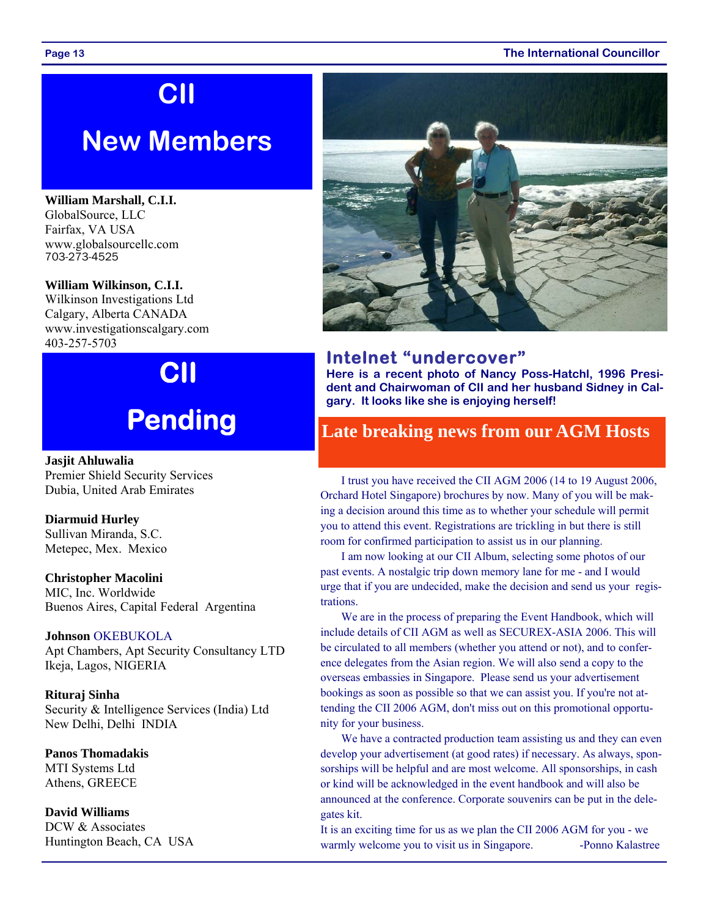#### **Page 13 The International Councillor**

# **CII**

## **New Members**

**William Marshall, C.I.I.**  GlobalSource, LLC Fairfax, VA USA www.globalsourcellc.com 703-273-4525

#### **William Wilkinson, C.I.I.**

Wilkinson Investigations Ltd Calgary, Alberta CANADA www.investigationscalgary.com 403-257-5703

# **CII Pending**

**Jasjit Ahluwalia** Premier Shield Security Services Dubia, United Arab Emirates

**Diarmuid Hurley** Sullivan Miranda, S.C. Metepec, Mex. Mexico

**Christopher Macolini** MIC, Inc. Worldwide

Buenos Aires, Capital Federal Argentina

#### **Johnson** OKEBUKOLA

Apt Chambers, Apt Security Consultancy LTD Ikeja, Lagos, NIGERIA

**Rituraj Sinha** Security & Intelligence Services (India) Ltd New Delhi, Delhi INDIA

**Panos Thomadakis** MTI Systems Ltd Athens, GREECE

**David Williams** DCW & Associates Huntington Beach, CA USA



#### **Intelnet "undercover"**

**Here is a recent photo of Nancy Poss-Hatchl, 1996 President and Chairwoman of CII and her husband Sidney in Calgary. It looks like she is enjoying herself!** 

### **Late breaking news from our AGM Hosts**

I trust you have received the CII AGM 2006 (14 to 19 August 2006, Orchard Hotel Singapore) brochures by now. Many of you will be making a decision around this time as to whether your schedule will permit you to attend this event. Registrations are trickling in but there is still room for confirmed participation to assist us in our planning.

I am now looking at our CII Album, selecting some photos of our past events. A nostalgic trip down memory lane for me - and I would urge that if you are undecided, make the decision and send us your registrations.

We are in the process of preparing the Event Handbook, which will include details of CII AGM as well as SECUREX-ASIA 2006. This will be circulated to all members (whether you attend or not), and to conference delegates from the Asian region. We will also send a copy to the overseas embassies in Singapore. Please send us your advertisement bookings as soon as possible so that we can assist you. If you're not attending the CII 2006 AGM, don't miss out on this promotional opportunity for your business.

We have a contracted production team assisting us and they can even develop your advertisement (at good rates) if necessary. As always, sponsorships will be helpful and are most welcome. All sponsorships, in cash or kind will be acknowledged in the event handbook and will also be announced at the conference. Corporate souvenirs can be put in the delegates kit.

It is an exciting time for us as we plan the CII 2006 AGM for you - we warmly welcome you to visit us in Singapore. -Ponno Kalastree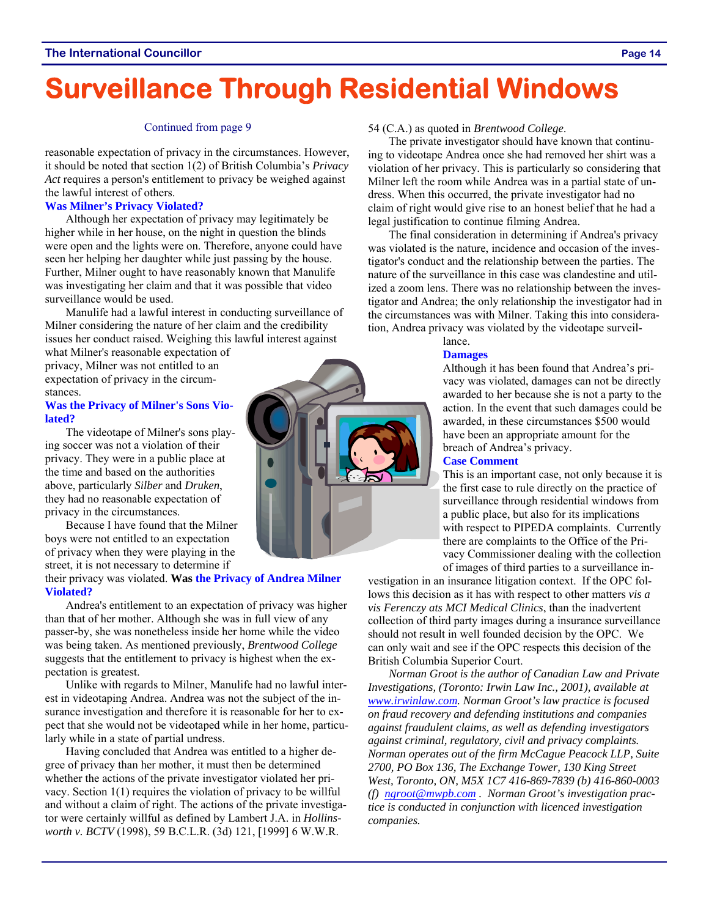# **Surveillance Through Residential Windows**

#### Continued from page 9

reasonable expectation of privacy in the circumstances. However, it should be noted that section 1(2) of British Columbia's *Privacy Act* requires a person's entitlement to privacy be weighed against the lawful interest of others.

#### **Was Milner's Privacy Violated?**

Although her expectation of privacy may legitimately be higher while in her house, on the night in question the blinds were open and the lights were on. Therefore, anyone could have seen her helping her daughter while just passing by the house. Further, Milner ought to have reasonably known that Manulife was investigating her claim and that it was possible that video surveillance would be used.

Manulife had a lawful interest in conducting surveillance of Milner considering the nature of her claim and the credibility issues her conduct raised. Weighing this lawful interest against

what Milner's reasonable expectation of privacy, Milner was not entitled to an expectation of privacy in the circumstances.

#### **Was the Privacy of Milner's Sons Violated?**

The videotape of Milner's sons playing soccer was not a violation of their privacy. They were in a public place at the time and based on the authorities above, particularly *Silber* and *Druken*, they had no reasonable expectation of privacy in the circumstances.

Because I have found that the Milner boys were not entitled to an expectation of privacy when they were playing in the street, it is not necessary to determine if

#### their privacy was violated. **Was the Privacy of Andrea Milner Violated?**

Andrea's entitlement to an expectation of privacy was higher than that of her mother. Although she was in full view of any passer-by, she was nonetheless inside her home while the video was being taken. As mentioned previously, *Brentwood College* suggests that the entitlement to privacy is highest when the expectation is greatest.

Unlike with regards to Milner, Manulife had no lawful interest in videotaping Andrea. Andrea was not the subject of the insurance investigation and therefore it is reasonable for her to expect that she would not be videotaped while in her home, particularly while in a state of partial undress.

Having concluded that Andrea was entitled to a higher degree of privacy than her mother, it must then be determined whether the actions of the private investigator violated her privacy. Section 1(1) requires the violation of privacy to be willful and without a claim of right. The actions of the private investigator were certainly willful as defined by Lambert J.A. in *Hollinsworth v. BCTV* (1998), 59 B.C.L.R. (3d) 121, [1999] 6 W.W.R.

#### **Damages**

Although it has been found that Andrea's privacy was violated, damages can not be directly awarded to her because she is not a party to the action. In the event that such damages could be awarded, in these circumstances \$500 would have been an appropriate amount for the breach of Andrea's privacy.

#### **Case Comment**

This is an important case, not only because it is the first case to rule directly on the practice of surveillance through residential windows from a public place, but also for its implications with respect to PIPEDA complaints. Currently there are complaints to the Office of the Privacy Commissioner dealing with the collection of images of third parties to a surveillance in-

vestigation in an insurance litigation context. If the OPC follows this decision as it has with respect to other matters *vis a vis Ferenczy ats MCI Medical Clinics*, than the inadvertent collection of third party images during a insurance surveillance should not result in well founded decision by the OPC. We can only wait and see if the OPC respects this decision of the British Columbia Superior Court.

*Norman Groot is the author of Canadian Law and Private Investigations, (Toronto: Irwin Law Inc., 2001), available at www.irwinlaw.com. Norman Groot's law practice is focused on fraud recovery and defending institutions and companies against fraudulent claims, as well as defending investigators against criminal, regulatory, civil and privacy complaints. Norman operates out of the firm McCague Peacock LLP, Suite 2700, PO Box 136, The Exchange Tower, 130 King Street West, Toronto, ON, M5X 1C7 416-869-7839 (b) 416-860-0003 (f) ngroot@mwpb.com . Norman Groot's investigation practice is conducted in conjunction with licenced investigation companies.* 



#### 54 (C.A.) as quoted in *Brentwood College*.

The private investigator should have known that continuing to videotape Andrea once she had removed her shirt was a violation of her privacy. This is particularly so considering that Milner left the room while Andrea was in a partial state of undress. When this occurred, the private investigator had no claim of right would give rise to an honest belief that he had a legal justification to continue filming Andrea.

The final consideration in determining if Andrea's privacy was violated is the nature, incidence and occasion of the investigator's conduct and the relationship between the parties. The nature of the surveillance in this case was clandestine and utilized a zoom lens. There was no relationship between the investigator and Andrea; the only relationship the investigator had in the circumstances was with Milner. Taking this into consideration, Andrea privacy was violated by the videotape surveil-

lance.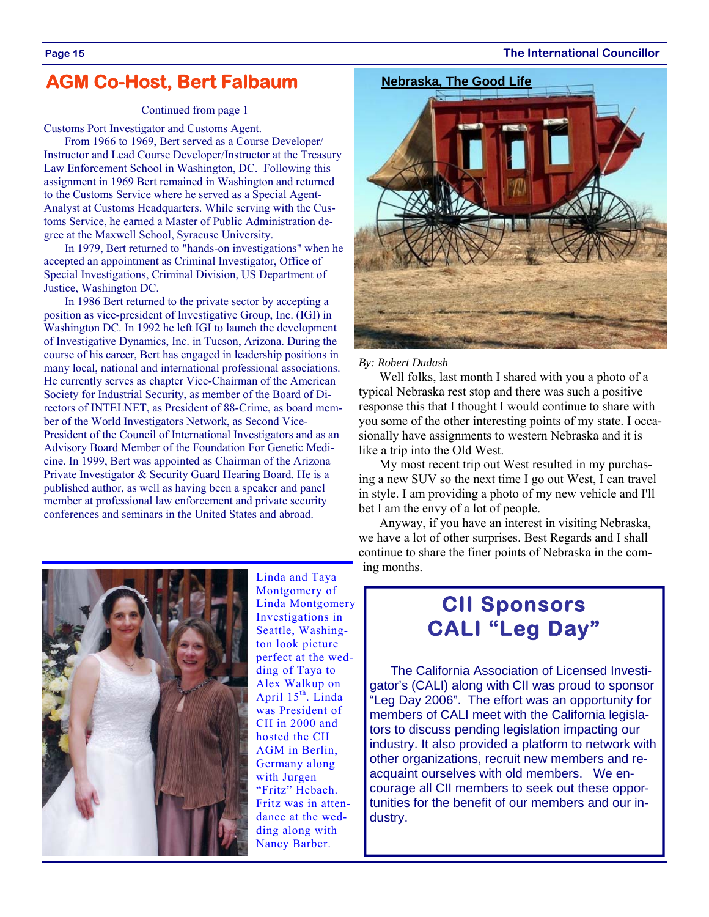#### **Page 15 The International Councillor**

### **AGM Co-Host, Bert Falbaum**

#### Continued from page 1

Customs Port Investigator and Customs Agent.

From 1966 to 1969, Bert served as a Course Developer/ Instructor and Lead Course Developer/Instructor at the Treasury Law Enforcement School in Washington, DC. Following this assignment in 1969 Bert remained in Washington and returned to the Customs Service where he served as a Special Agent-Analyst at Customs Headquarters. While serving with the Customs Service, he earned a Master of Public Administration degree at the Maxwell School, Syracuse University.

In 1979, Bert returned to "hands-on investigations" when he accepted an appointment as Criminal Investigator, Office of Special Investigations, Criminal Division, US Department of Justice, Washington DC.

In 1986 Bert returned to the private sector by accepting a position as vice-president of Investigative Group, Inc. (IGI) in Washington DC. In 1992 he left IGI to launch the development of Investigative Dynamics, Inc. in Tucson, Arizona. During the course of his career, Bert has engaged in leadership positions in many local, national and international professional associations. He currently serves as chapter Vice-Chairman of the American Society for Industrial Security, as member of the Board of Directors of INTELNET, as President of 88-Crime, as board member of the World Investigators Network, as Second Vice-President of the Council of International Investigators and as an Advisory Board Member of the Foundation For Genetic Medicine. In 1999, Bert was appointed as Chairman of the Arizona Private Investigator & Security Guard Hearing Board. He is a published author, as well as having been a speaker and panel member at professional law enforcement and private security conferences and seminars in the United States and abroad.



Linda and Taya Montgomery of Linda Montgomery Investigations in Seattle, Washington look picture perfect at the wedding of Taya to Alex Walkup on April  $15^{th}$ . Linda was President of CII in 2000 and hosted the CII AGM in Berlin, Germany along with Jurgen "Fritz" Hebach. Fritz was in attendance at the wedding along with Nancy Barber.



*By: Robert Dudash* 

Well folks, last month I shared with you a photo of a typical Nebraska rest stop and there was such a positive response this that I thought I would continue to share with you some of the other interesting points of my state. I occasionally have assignments to western Nebraska and it is like a trip into the Old West.

My most recent trip out West resulted in my purchasing a new SUV so the next time I go out West, I can travel in style. I am providing a photo of my new vehicle and I'll bet I am the envy of a lot of people.

Anyway, if you have an interest in visiting Nebraska, we have a lot of other surprises. Best Regards and I shall continue to share the finer points of Nebraska in the coming months.

### **CII Sponsors CALI "Leg Day"**

The California Association of Licensed Investigator's (CALI) along with CII was proud to sponsor "Leg Day 2006". The effort was an opportunity for members of CALI meet with the California legislators to discuss pending legislation impacting our industry. It also provided a platform to network with other organizations, recruit new members and reacquaint ourselves with old members. We encourage all CII members to seek out these opportunities for the benefit of our members and our industry.